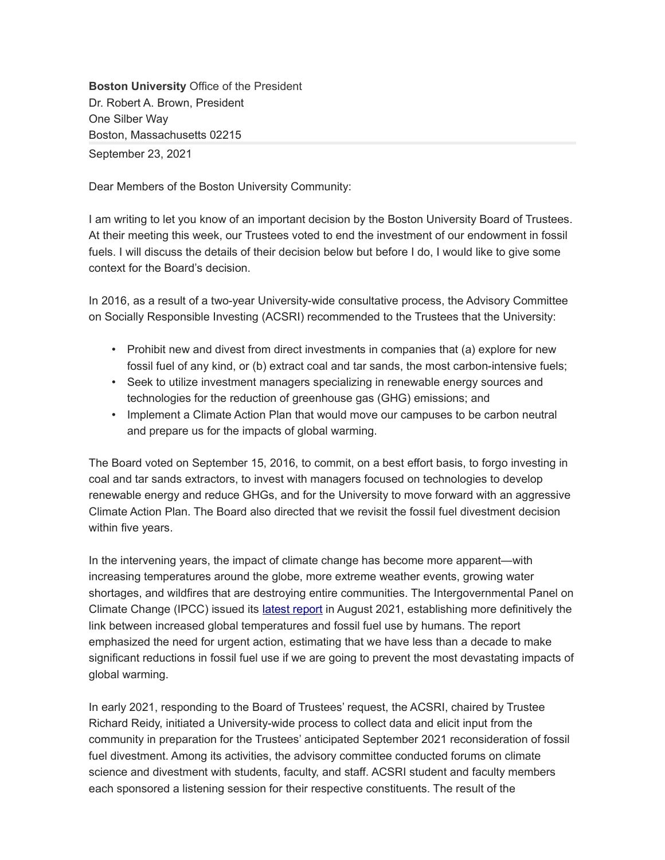**Boston University** Office of the President Dr. Robert A. Brown, President One Silber Way Boston, Massachusetts 02215 September 23, 2021

Dear Members of the Boston University Community:

I am writing to let you know of an important decision by the Boston University Board of Trustees. At their meeting this week, our Trustees voted to end the investment of our endowment in fossil fuels. I will discuss the details of their decision below but before I do, I would like to give some context for the Board's decision.

In 2016, as a result of a two-year University-wide consultative process, the Advisory Committee on Socially Responsible Investing (ACSRI) recommended to the Trustees that the University:

- Prohibit new and divest from direct investments in companies that (a) explore for new fossil fuel of any kind, or (b) extract coal and tar sands, the most carbon-intensive fuels;
- Seek to utilize investment managers specializing in renewable energy sources and technologies for the reduction of greenhouse gas (GHG) emissions; and
- Implement a Climate Action Plan that would move our campuses to be carbon neutral and prepare us for the impacts of global warming.

The Board voted on September 15, 2016, to commit, on a best effort basis, to forgo investing in coal and tar sands extractors, to invest with managers focused on technologies to develop renewable energy and reduce GHGs, and for the University to move forward with an aggressive Climate Action Plan. The Board also directed that we revisit the fossil fuel divestment decision within five years.

In the intervening years, the impact of climate change has become more apparent—with increasing temperatures around the globe, more extreme weather events, growing water shortages, and wildfires that are destroying entire communities. The Intergovernmental Panel on Climate Change (IPCC) issued its [latest report](https://www.ipcc.ch/report/ar6/wg1/downloads/report/IPCC_AR6_WGI_SPM.pdf) in August 2021, establishing more definitively the link between increased global temperatures and fossil fuel use by humans. The report emphasized the need for urgent action, estimating that we have less than a decade to make significant reductions in fossil fuel use if we are going to prevent the most devastating impacts of global warming.

In early 2021, responding to the Board of Trustees' request, the ACSRI, chaired by Trustee Richard Reidy, initiated a University-wide process to collect data and elicit input from the community in preparation for the Trustees' anticipated September 2021 reconsideration of fossil fuel divestment. Among its activities, the advisory committee conducted forums on climate science and divestment with students, faculty, and staff. ACSRI student and faculty members each sponsored a listening session for their respective constituents. The result of the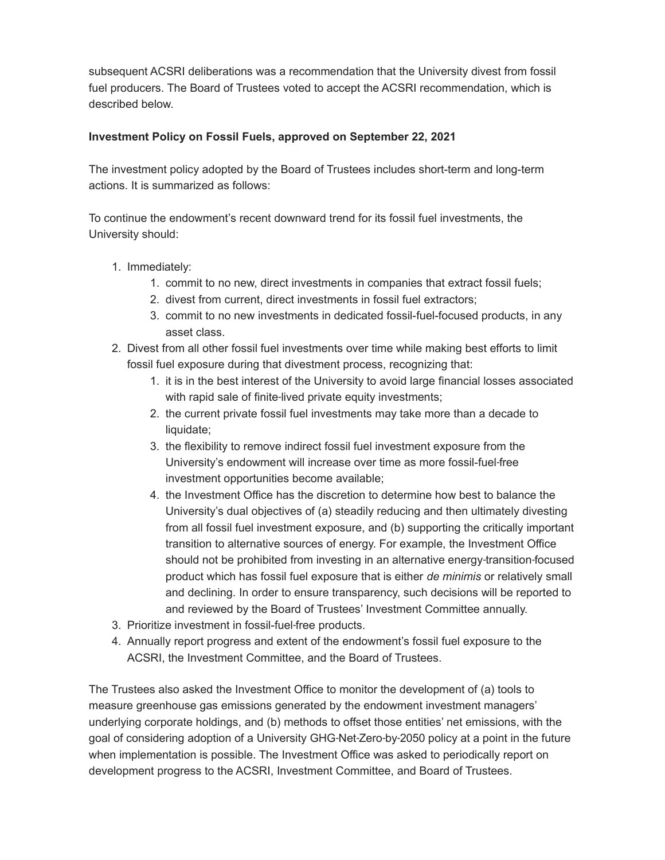subsequent ACSRI deliberations was a recommendation that the University divest from fossil fuel producers. The Board of Trustees voted to accept the ACSRI recommendation, which is described below.

## **Investment Policy on Fossil Fuels, approved on September 22, 2021**

The investment policy adopted by the Board of Trustees includes short-term and long-term actions. It is summarized as follows:

To continue the endowment's recent downward trend for its fossil fuel investments, the University should:

- 1. Immediately:
	- 1. commit to no new, direct investments in companies that extract fossil fuels;
	- 2. divest from current, direct investments in fossil fuel extractors;
	- 3. commit to no new investments in dedicated fossil-fuel-focused products, in any asset class.
- 2. Divest from all other fossil fuel investments over time while making best efforts to limit fossil fuel exposure during that divestment process, recognizing that:
	- 1. it is in the best interest of the University to avoid large financial losses associated with rapid sale of finite-lived private equity investments;
	- 2. the current private fossil fuel investments may take more than a decade to liquidate;
	- 3. the flexibility to remove indirect fossil fuel investment exposure from the University's endowment will increase over time as more fossil-fuel free ‐ investment opportunities become available;
	- 4. the Investment Office has the discretion to determine how best to balance the University's dual objectives of (a) steadily reducing and then ultimately divesting from all fossil fuel investment exposure, and (b) supporting the critically important transition to alternative sources of energy. For example, the Investment Office should not be prohibited from investing in an alternative energy-transition-focused product which has fossil fuel exposure that is either *de minimis* or relatively small and declining. In order to ensure transparency, such decisions will be reported to and reviewed by the Board of Trustees' Investment Committee annually.
- 3. Prioritize investment in fossil-fuel free products. ‐
- 4. Annually report progress and extent of the endowment's fossil fuel exposure to the ACSRI, the Investment Committee, and the Board of Trustees.

The Trustees also asked the Investment Office to monitor the development of (a) tools to measure greenhouse gas emissions generated by the endowment investment managers' underlying corporate holdings, and (b) methods to offset those entities' net emissions, with the goal of considering adoption of a University GHG-Net-Zero-by-2050 policy at a point in the future when implementation is possible. The Investment Office was asked to periodically report on development progress to the ACSRI, Investment Committee, and Board of Trustees.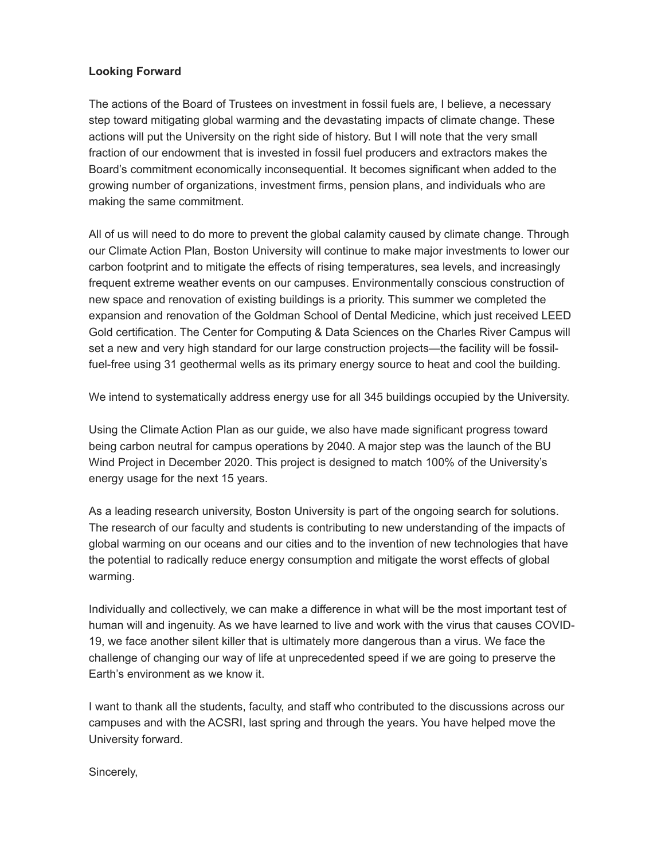## **Looking Forward**

The actions of the Board of Trustees on investment in fossil fuels are, I believe, a necessary step toward mitigating global warming and the devastating impacts of climate change. These actions will put the University on the right side of history. But I will note that the very small fraction of our endowment that is invested in fossil fuel producers and extractors makes the Board's commitment economically inconsequential. It becomes significant when added to the growing number of organizations, investment firms, pension plans, and individuals who are making the same commitment.

All of us will need to do more to prevent the global calamity caused by climate change. Through our Climate Action Plan, Boston University will continue to make major investments to lower our carbon footprint and to mitigate the effects of rising temperatures, sea levels, and increasingly frequent extreme weather events on our campuses. Environmentally conscious construction of new space and renovation of existing buildings is a priority. This summer we completed the expansion and renovation of the Goldman School of Dental Medicine, which just received LEED Gold certification. The Center for Computing & Data Sciences on the Charles River Campus will set a new and very high standard for our large construction projects—the facility will be fossilfuel-free using 31 geothermal wells as its primary energy source to heat and cool the building.

We intend to systematically address energy use for all 345 buildings occupied by the University.

Using the Climate Action Plan as our guide, we also have made significant progress toward being carbon neutral for campus operations by 2040. A major step was the launch of the BU Wind Project in December 2020. This project is designed to match 100% of the University's energy usage for the next 15 years.

As a leading research university, Boston University is part of the ongoing search for solutions. The research of our faculty and students is contributing to new understanding of the impacts of global warming on our oceans and our cities and to the invention of new technologies that have the potential to radically reduce energy consumption and mitigate the worst effects of global warming.

Individually and collectively, we can make a difference in what will be the most important test of human will and ingenuity. As we have learned to live and work with the virus that causes COVID-19, we face another silent killer that is ultimately more dangerous than a virus. We face the challenge of changing our way of life at unprecedented speed if we are going to preserve the Earth's environment as we know it.

I want to thank all the students, faculty, and staff who contributed to the discussions across our campuses and with the ACSRI, last spring and through the years. You have helped move the University forward.

Sincerely,